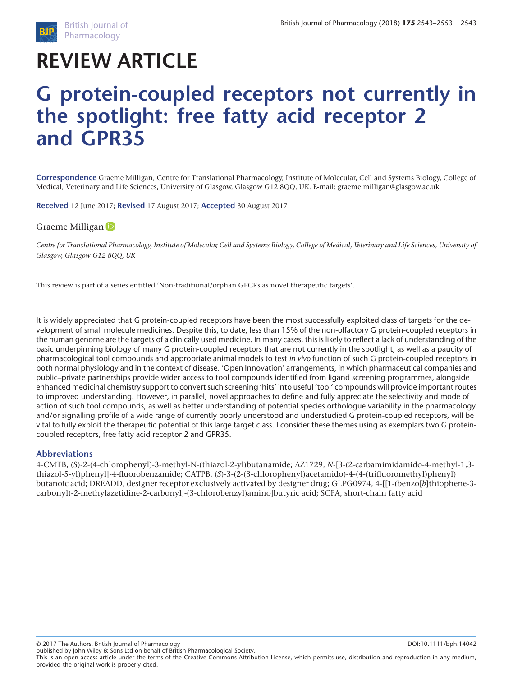

# **REVIEW ARTICLE**

# **G protein-coupled receptors not currently in the spotlight: free fatty acid receptor 2 and GPR35**

**Correspondence** Graeme Milligan, Centre for Translational Pharmacology, Institute of Molecular, Cell and Systems Biology, College of Medical, Veterinary and Life Sciences, University of Glasgow, Glasgow G12 8QQ, UK. E-mail: graeme.milligan@glasgow.ac.uk

**Received** 12 June 2017; **Revised** 17 August 2017; **Accepted** 30 August 2017

### Graeme Milligan<sup>th</sup>

*Centre for Translational Pharmacology, Institute of Molecular, Cell and Systems Biology, College of Medical, Veterinary and Life Sciences, University of Glasgow, Glasgow G12 8QQ, UK*

This review is part of a series entitled 'Non-traditional/orphan GPCRs as novel therapeutic targets'.

It is widely appreciated that G protein-coupled receptors have been the most successfully exploited class of targets for the development of small molecule medicines. Despite this, to date, less than 15% of the non-olfactory G protein-coupled receptors in the human genome are the targets of a clinically used medicine. In many cases, this is likely to reflect a lack of understanding of the basic underpinning biology of many G protein-coupled receptors that are not currently in the spotlight, as well as a paucity of pharmacological tool compounds and appropriate animal models to test *in vivo* function of such G protein-coupled receptors in both normal physiology and in the context of disease. 'Open Innovation' arrangements, in which pharmaceutical companies and public–private partnerships provide wider access to tool compounds identified from ligand screening programmes, alongside enhanced medicinal chemistry support to convert such screening 'hits' into useful 'tool' compounds will provide important routes to improved understanding. However, in parallel, novel approaches to define and fully appreciate the selectivity and mode of action of such tool compounds, as well as better understanding of potential species orthologue variability in the pharmacology and/or signalling profile of a wide range of currently poorly understood and understudied G protein-coupled receptors, will be vital to fully exploit the therapeutic potential of this large target class. I consider these themes using as exemplars two G proteincoupled receptors, free fatty acid receptor 2 and GPR35.

#### **Abbreviations**

4-CMTB, (S)-2-(4-chlorophenyl)-3-methyl-N-(thiazol-2-yl)butanamide; AZ1729, *N*-[3-(2-carbamimidamido-4-methyl-1,3 thiazol-5-yl)phenyl]-4-fluorobenzamide; CATPB, (*S*)-3-(2-(3-chlorophenyl)acetamido)-4-(4-(trifluoromethyl)phenyl) butanoic acid; DREADD, designer receptor exclusively activated by designer drug; GLPG0974, 4-[[1-(benzo[*b*]thiophene-3 carbonyl)-2-methylazetidine-2-carbonyl]-(3-chlorobenzyl)amino]butyric acid; SCFA, short-chain fatty acid

© 2017 The Authors. British Journal of Pharmacology DOI:10.1111/bph.14042

published by John Wiley & Sons Ltd on behalf of British Pharmacological Society. This is an open access article under the terms of the [Creative Commons Attribution](http://creativecommons.org/licenses/by/4.0/) License, which permits use, distribution and reproduction in any medium, provided the original work is properly cited.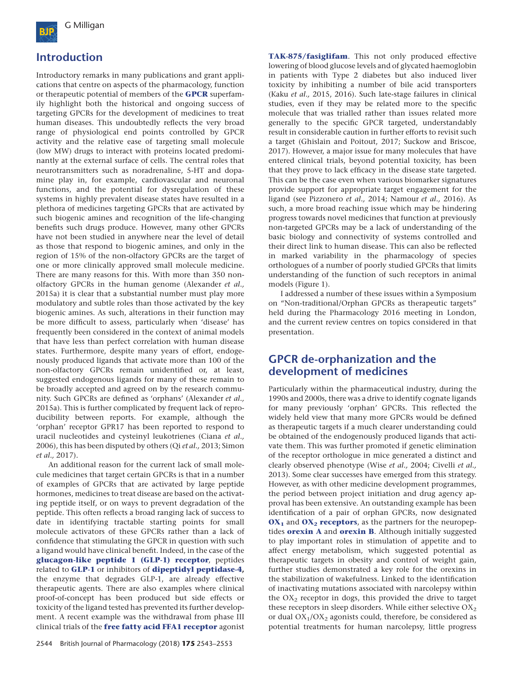

## **Introduction**

Introductory remarks in many publications and grant applications that centre on aspects of the pharmacology, function or therapeutic potential of members of the **[GPCR](http://www.guidetopharmacology.org/GRAC/FamilyDisplayForward?familyId=694&familyType=GPCR)** superfamily highlight both the historical and ongoing success of targeting GPCRs for the development of medicines to treat human diseases. This undoubtedly reflects the very broad range of physiological end points controlled by GPCR activity and the relative ease of targeting small molecule (low MW) drugs to interact with proteins located predominantly at the external surface of cells. The central roles that neurotransmitters such as noradrenaline, 5-HT and dopamine play in, for example, cardiovascular and neuronal functions, and the potential for dysregulation of these systems in highly prevalent disease states have resulted in a plethora of medicines targeting GPCRs that are activated by such biogenic amines and recognition of the life-changing benefits such drugs produce. However, many other GPCRs have not been studied in anywhere near the level of detail as those that respond to biogenic amines, and only in the region of 15% of the non-olfactory GPCRs are the target of one or more clinically approved small molecule medicine. There are many reasons for this. With more than 350 nonolfactory GPCRs in the human genome (Alexander *et al.,* 2015a) it is clear that a substantial number must play more modulatory and subtle roles than those activated by the key biogenic amines. As such, alterations in their function may be more difficult to assess, particularly when 'disease' has frequently been considered in the context of animal models that have less than perfect correlation with human disease states. Furthermore, despite many years of effort, endogenously produced ligands that activate more than 100 of the non-olfactory GPCRs remain unidentified or, at least, suggested endogenous ligands for many of these remain to be broadly accepted and agreed on by the research community. Such GPCRs are defined as 'orphans' (Alexander *et al.,* 2015a). This is further complicated by frequent lack of reproducibility between reports. For example, although the 'orphan' receptor GPR17 has been reported to respond to uracil nucleotides and cysteinyl leukotrienes (Ciana *et al.,* 2006), this has been disputed by others (Qi *et al.,* 2013; Simon *et al.,* 2017).

An additional reason for the current lack of small molecule medicines that target certain GPCRs is that in a number of examples of GPCRs that are activated by large peptide hormones, medicines to treat disease are based on the activating peptide itself, or on ways to prevent degradation of the peptide. This often reflects a broad ranging lack of success to date in identifying tractable starting points for small molecule activators of these GPCRs rather than a lack of confidence that stimulating the GPCR in question with such a ligand would have clinical benefit. Indeed, in the case of the **[glucagon-like peptide 1 \(GLP-1\) receptor](http://www.guidetopharmacology.org/GRAC/ObjectDisplayForward?objectId=249)**, peptides related to **[GLP-1](http://www.guidetopharmacology.org/GRAC/LigandDisplayForward?ligandId=5194)** or inhibitors of **[dipeptidyl peptidase-4](http://www.guidetopharmacology.org/GRAC/ObjectDisplayForward?objectId=1612),** the enzyme that degrades GLP-1, are already effective therapeutic agents. There are also examples where clinical proof-of-concept has been produced but side effects or toxicity of the ligand tested has prevented its further development. A recent example was the withdrawal from phase III clinical trials of the **[free fatty acid FFA1 receptor](http://www.guidetopharmacology.org/GRAC/ObjectDisplayForward?objectId=225&familyId=24&familyType=GPCR)** agonist **[TAK-875/fasiglifam](http://www.guidetopharmacology.org/GRAC/LigandDisplayForward?ligandId=6484)**. This not only produced effective lowering of blood glucose levels and of glycated haemoglobin in patients with Type 2 diabetes but also induced liver toxicity by inhibiting a number of bile acid transporters (Kaku *et al.,* 2015, 2016). Such late-stage failures in clinical studies, even if they may be related more to the specific molecule that was trialled rather than issues related more generally to the specific GPCR targeted, understandably result in considerable caution in further efforts to revisit such a target (Ghislain and Poitout, 2017; Suckow and Briscoe, 2017). However, a major issue for many molecules that have entered clinical trials, beyond potential toxicity, has been that they prove to lack efficacy in the disease state targeted. This can be the case even when various biomarker signatures provide support for appropriate target engagement for the ligand (see Pizzonero *et al.,* 2014; Namour *et al.,* 2016). As such, a more broad reaching issue which may be hindering progress towards novel medicines that function at previously non-targeted GPCRs may be a lack of understanding of the basic biology and connectivity of systems controlled and their direct link to human disease. This can also be reflected in marked variability in the pharmacology of species orthologues of a number of poorly studied GPCRs that limits understanding of the function of such receptors in animal models (Figure 1).

I addressed a number of these issues within a Symposium on "Non-traditional/Orphan GPCRs as therapeutic targets" held during the Pharmacology 2016 meeting in London, and the current review centres on topics considered in that presentation.

## **GPCR de-orphanization and the development of medicines**

Particularly within the pharmaceutical industry, during the 1990s and 2000s, there was a drive to identify cognate ligands for many previously 'orphan' GPCRs. This reflected the widely held view that many more GPCRs would be defined as therapeutic targets if a much clearer understanding could be obtained of the endogenously produced ligands that activate them. This was further promoted if genetic elimination of the receptor orthologue in mice generated a distinct and clearly observed phenotype (Wise *et al.,* 2004; Civelli *et al.,* 2013). Some clear successes have emerged from this strategy. However, as with other medicine development programmes, the period between project initiation and drug agency approval has been extensive. An outstanding example has been identification of a pair of orphan GPCRs, now designated **OX<sub>1</sub>** and **OX<sub>2</sub> [receptors](http://www.guidetopharmacology.org/GRAC/ObjectDisplayForward?objectId=322)**, as the partners for the neuropeptides **[orexin A](http://www.guidetopharmacology.org/GRAC/LigandDisplayForward?ligandId=1697)** and **[orexin B](http://www.guidetopharmacology.org/GRAC/LigandDisplayForward?ligandId=1699)**. Although initially suggested to play important roles in stimulation of appetite and to affect energy metabolism, which suggested potential as therapeutic targets in obesity and control of weight gain, further studies demonstrated a key role for the orexins in the stabilization of wakefulness. Linked to the identification of inactivating mutations associated with narcolepsy within the  $OX<sub>2</sub>$  receptor in dogs, this provided the drive to target these receptors in sleep disorders. While either selective  $OX_2$ or dual  $OX_1/OX_2$  agonists could, therefore, be considered as potential treatments for human narcolepsy, little progress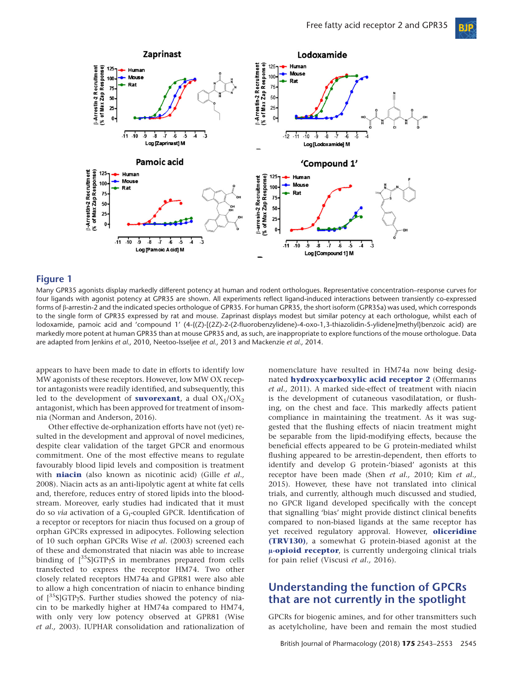**BIP** 



## **Figure 1**

Many GPR35 agonists display markedly different potency at human and rodent orthologues. Representative concentration–response curves for four ligands with agonist potency at GPR35 are shown. All experiments reflect ligand-induced interactions between transiently co-expressed forms of β-arrestin-2 and the indicated species orthologue of GPR35. For human GPR35, the short isoform (GPR35a) was used, which corresponds to the single form of GPR35 expressed by rat and mouse. Zaprinast displays modest but similar potency at each orthologue, whilst each of lodoxamide, pamoic acid and 'compound 1' (4-{(Z)-[(2Z)-2-(2-fluorobenzylidene)-4-oxo-1,3-thiazolidin-5-ylidene]methyl}benzoic acid) are markedly more potent at human GPR35 than at mouse GPR35 and, as such, are inappropriate to explore functions of the mouse orthologue. Data are adapted from Jenkins *et al.,* 2010, Neetoo-Isseljee *et al.,* 2013 and Mackenzie *et al.,* 2014.

appears to have been made to date in efforts to identify low MW agonists of these receptors. However, low MW OX receptor antagonists were readily identified, and subsequently, this led to the development of **[suvorexant](http://www.guidetopharmacology.org/GRAC/LigandDisplayForward?ligandId=2890)**, a dual  $OX_1/OX_2$ antagonist, which has been approved for treatment of insomnia (Norman and Anderson, 2016).

Other effective de-orphanization efforts have not (yet) resulted in the development and approval of novel medicines, despite clear validation of the target GPCR and enormous commitment. One of the most effective means to regulate favourably blood lipid levels and composition is treatment with **[niacin](http://www.guidetopharmacology.org/GRAC/LigandDisplayForward?ligandId=1588)** (also known as nicotinic acid) (Gille *et al.,* 2008). Niacin acts as an anti-lipolytic agent at white fat cells and, therefore, reduces entry of stored lipids into the bloodstream. Moreover, early studies had indicated that it must do so *via* activation of a G<sub>i</sub>-coupled GPCR. Identification of a receptor or receptors for niacin thus focused on a group of orphan GPCRs expressed in adipocytes. Following selection of 10 such orphan GPCRs Wise *et al*. (2003) screened each of these and demonstrated that niacin was able to increase binding of  $[^{35}S]$ GTP $\gamma$ S in membranes prepared from cells transfected to express the receptor HM74. Two other closely related receptors HM74a and GPR81 were also able to allow a high concentration of niacin to enhance binding of [35S]GTPγS. Further studies showed the potency of niacin to be markedly higher at HM74a compared to HM74, with only very low potency observed at GPR81 (Wise *et al.,* 2003). IUPHAR consolidation and rationalization of

nomenclature have resulted in HM74a now being designated **[hydroxycarboxylic acid receptor 2](http://www.guidetopharmacology.org/GRAC/ObjectDisplayForward?objectId=312)** (Offermanns *et al.,* 2011). A marked side-effect of treatment with niacin is the development of cutaneous vasodilatation, or flushing, on the chest and face. This markedly affects patient compliance in maintaining the treatment. As it was suggested that the flushing effects of niacin treatment might be separable from the lipid-modifying effects, because the beneficial effects appeared to be G protein-mediated whilst flushing appeared to be arrestin-dependent, then efforts to identify and develop G protein-'biased' agonists at this receptor have been made (Shen *et al.,* 2010; Kim *et al.,* 2015). However, these have not translated into clinical trials, and currently, although much discussed and studied, no GPCR ligand developed specifically with the concept that signalling 'bias' might provide distinct clinical benefits compared to non-biased ligands at the same receptor has yet received regulatory approval. However, **[oliceridine](http://www.guidetopharmacology.org/GRAC/LigandDisplayForward?ligandId=7334) [\(TRV130\)](http://www.guidetopharmacology.org/GRAC/LigandDisplayForward?ligandId=7334)**, a somewhat G protein-biased agonist at the **μ[-opioid receptor](http://www.guidetopharmacology.org/GRAC/ObjectDisplayForward?objectId=319)**, is currently undergoing clinical trials for pain relief (Viscusi *et al.,* 2016).

## **Understanding the function of GPCRs that are not currently in the spotlight**

GPCRs for biogenic amines, and for other transmitters such as acetylcholine, have been and remain the most studied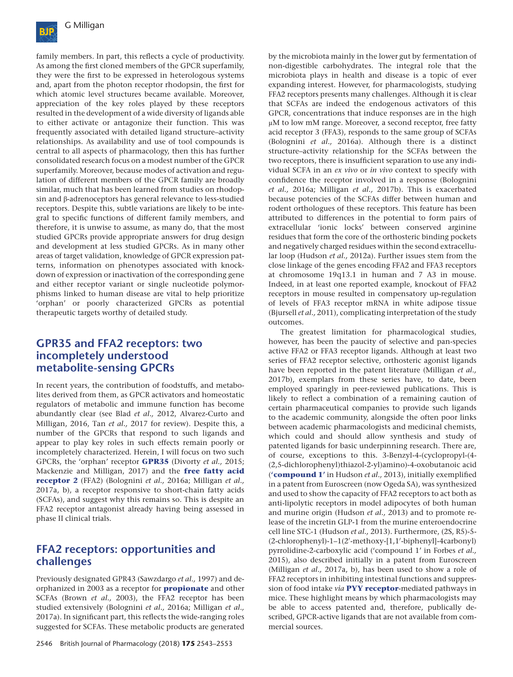

family members. In part, this reflects a cycle of productivity. As among the first cloned members of the GPCR superfamily, they were the first to be expressed in heterologous systems and, apart from the photon receptor rhodopsin, the first for which atomic level structures became available. Moreover, appreciation of the key roles played by these receptors resulted in the development of a wide diversity of ligands able to either activate or antagonize their function. This was frequently associated with detailed ligand structure–activity relationships. As availability and use of tool compounds is central to all aspects of pharmacology, then this has further consolidated research focus on a modest number of the GPCR superfamily. Moreover, because modes of activation and regulation of different members of the GPCR family are broadly similar, much that has been learned from studies on rhodopsin and β-adrenoceptors has general relevance to less-studied receptors. Despite this, subtle variations are likely to be integral to specific functions of different family members, and therefore, it is unwise to assume, as many do, that the most studied GPCRs provide appropriate answers for drug design and development at less studied GPCRs. As in many other areas of target validation, knowledge of GPCR expression patterns, information on phenotypes associated with knockdown of expression or inactivation of the corresponding gene and either receptor variant or single nucleotide polymorphisms linked to human disease are vital to help prioritize 'orphan' or poorly characterized GPCRs as potential therapeutic targets worthy of detailed study.

## **GPR35 and FFA2 receptors: two incompletely understood metabolite-sensing GPCRs**

In recent years, the contribution of foodstuffs, and metabolites derived from them, as GPCR activators and homeostatic regulators of metabolic and immune function has become abundantly clear (see Blad *et al.,* 2012, Alvarez-Curto and Milligan, 2016, Tan *et al.,* 2017 for review). Despite this, a number of the GPCRs that respond to such ligands and appear to play key roles in such effects remain poorly or incompletely characterized. Herein, I will focus on two such GPCRs, the 'orphan' receptor **[GPR35](http://www.guidetopharmacology.org/GRAC/ObjectDisplayForward?objectId=102&familyId=16&familyType=GPCR)** (Divorty *et al.,* 2015; Mackenzie and Milligan, 2017) and the **[free fatty acid](http://www.guidetopharmacology.org/GRAC/ObjectDisplayForward?objectId=226&familyId=24&familyType=GPCR) [receptor 2](http://www.guidetopharmacology.org/GRAC/ObjectDisplayForward?objectId=226&familyId=24&familyType=GPCR)** (FFA2) (Bolognini *et al.,* 2016a; Milligan *et al.,* 2017a, b), a receptor responsive to short-chain fatty acids (SCFAs), and suggest why this remains so. This is despite an FFA2 receptor antagonist already having being assessed in phase II clinical trials.

## **FFA2 receptors: opportunities and challenges**

Previously designated GPR43 (Sawzdargo *et al.,* 1997) and deorphanized in 2003 as a receptor for **[propionate](http://www.guidetopharmacology.org/GRAC/LigandDisplayForward?ligandId=1062)** and other SCFAs (Brown *et al.,* 2003), the FFA2 receptor has been studied extensively (Bolognini *et al.,* 2016a; Milligan *et al.,* 2017a). In significant part, this reflects the wide-ranging roles suggested for SCFAs. These metabolic products are generated

by the microbiota mainly in the lower gut by fermentation of non-digestible carbohydrates. The integral role that the microbiota plays in health and disease is a topic of ever expanding interest. However, for pharmacologists, studying FFA2 receptors presents many challenges. Although it is clear that SCFAs are indeed the endogenous activators of this GPCR, concentrations that induce responses are in the high μM to low mM range. Moreover, a second receptor, free fatty acid receptor 3 (FFA3), responds to the same group of SCFAs (Bolognini *et al.,* 2016a). Although there is a distinct structure–activity relationship for the SCFAs between the two receptors, there is insufficient separation to use any individual SCFA in an *ex vivo* or *in vivo* context to specify with confidence the receptor involved in a response (Bolognini *et al.,* 2016a; Milligan *et al.,* 2017b). This is exacerbated because potencies of the SCFAs differ between human and rodent orthologues of these receptors. This feature has been attributed to differences in the potential to form pairs of extracellular 'ionic locks' between conserved arginine residues that form the core of the orthosteric binding pockets and negatively charged residues within the second extracellular loop (Hudson *et al.,* 2012a). Further issues stem from the close linkage of the genes encoding FFA2 and FFA3 receptors at chromosome 19q13.1 in human and 7 A3 in mouse. Indeed, in at least one reported example, knockout of FFA2 receptors in mouse resulted in compensatory up-regulation of levels of FFA3 receptor mRNA in white adipose tissue (Bjursell *et al.,* 2011), complicating interpretation of the study outcomes.

The greatest limitation for pharmacological studies, however, has been the paucity of selective and pan-species active FFA2 or FFA3 receptor ligands. Although at least two series of FFA2 receptor selective, orthosteric agonist ligands have been reported in the patent literature (Milligan *et al.,* 2017b), exemplars from these series have, to date, been employed sparingly in peer-reviewed publications. This is likely to reflect a combination of a remaining caution of certain pharmaceutical companies to provide such ligands to the academic community, alongside the often poor links between academic pharmacologists and medicinal chemists, which could and should allow synthesis and study of patented ligands for basic underpinning research. There are, of course, exceptions to this. 3-Benzyl-4-(cyclopropyl-(4- (2,5-dichlorophenyl)thiazol-2-yl)amino)-4-oxobutanoic acid (**'[compound 1](http://www.guidetopharmacology.org/GRAC/LigandDisplayForward?ligandId=6488)'** in Hudson *et al.,* 2013), initially exemplified in a patent from Euroscreen (now Ogeda SA), was synthesized and used to show the capacity of FFA2 receptors to act both as anti-lipolytic receptors in model adipocytes of both human and murine origin (Hudson *et al.,* 2013) and to promote release of the incretin GLP-1 from the murine enteroendocrine cell line STC-1 (Hudson *et al.,* 2013). Furthermore, (2S, R5)-5- (2-chlorophenyl)-1-1(2'-methoxy-[1,1'-biphenyl]-4carbonyl) pyrrolidine-2-carboxylic acid ('compound 1' in Forbes *et al.,* 2015), also described initially in a patent from Euroscreen (Milligan *et al.,* 2017a, b), has been used to show a role of FFA2 receptors in inhibiting intestinal functions and suppression of food intake *via* **[PYY receptor](http://www.guidetopharmacology.org/GRAC/FamilyIntroductionForward?familyId=46)**-mediated pathways in mice. These highlight means by which pharmacologists may be able to access patented and, therefore, publically described, GPCR-active ligands that are not available from commercial sources.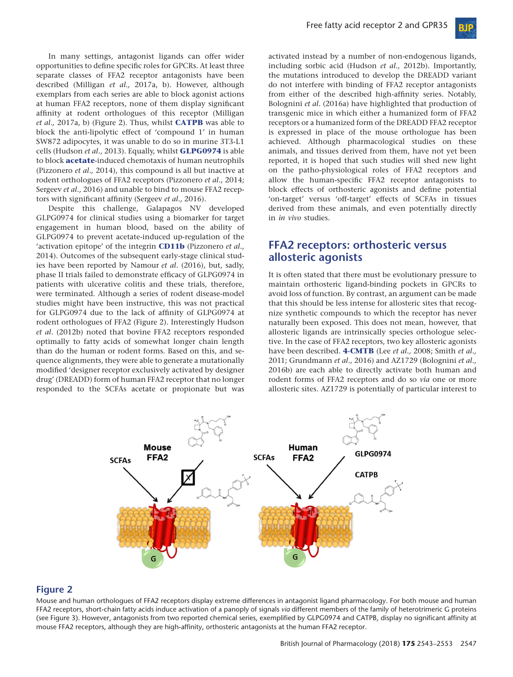

In many settings, antagonist ligands can offer wider opportunities to define specific roles for GPCRs. At least three separate classes of FFA2 receptor antagonists have been described (Milligan *et al.,* 2017a, b). However, although exemplars from each series are able to block agonist actions at human FFA2 receptors, none of them display significant affinity at rodent orthologues of this receptor (Milligan *et al.,* 2017a, b) (Figure 2). Thus, whilst **[CATPB](http://www.guidetopharmacology.org/GRAC/LigandDisplayForward?ligandId=6487)** was able to block the anti-lipolytic effect of 'compound 1' in human SW872 adipocytes, it was unable to do so in murine 3T3-L1 cells (Hudson *et al.,* 2013). Equally, whilst **[GLPG0974](http://www.guidetopharmacology.org/GRAC/LigandDisplayForward?ligandId=8417)** is able to block **[acetate](http://www.guidetopharmacology.org/GRAC/LigandDisplayForward?ligandId=1058)**-induced chemotaxis of human neutrophils (Pizzonero *et al.,* 2014), this compound is all but inactive at rodent orthologues of FFA2 receptors (Pizzonero *et al.,* 2014; Sergeev *et al.,* 2016) and unable to bind to mouse FFA2 receptors with significant affinity (Sergeev *et al.,* 2016).

Despite this challenge, Galapagos NV developed GLPG0974 for clinical studies using a biomarker for target engagement in human blood, based on the ability of GLPG0974 to prevent acetate-induced up-regulation of the 'activation epitope' of the integrin **[CD11b](http://www.guidetopharmacology.org/GRAC/FamilyDisplayForward?familyId=760#2452)** (Pizzonero *et al.,* 2014). Outcomes of the subsequent early-stage clinical studies have been reported by Namour *et al*. (2016), but, sadly, phase II trials failed to demonstrate efficacy of GLPG0974 in patients with ulcerative colitis and these trials, therefore, were terminated. Although a series of rodent disease-model studies might have been instructive, this was not practical for GLPG0974 due to the lack of affinity of GLPG0974 at rodent orthologues of FFA2 (Figure 2). Interestingly Hudson *et al*. (2012b) noted that bovine FFA2 receptors responded optimally to fatty acids of somewhat longer chain length than do the human or rodent forms. Based on this, and sequence alignments, they were able to generate a mutationally modified 'designer receptor exclusively activated by designer drug' (DREADD) form of human FFA2 receptor that no longer responded to the SCFAs acetate or propionate but was

activated instead by a number of non-endogenous ligands, including sorbic acid (Hudson *et al.,* 2012b). Importantly, the mutations introduced to develop the DREADD variant do not interfere with binding of FFA2 receptor antagonists from either of the described high-affinity series. Notably, Bolognini *et al*. (2016a) have highlighted that production of transgenic mice in which either a humanized form of FFA2 receptors or a humanized form of the DREADD FFA2 receptor is expressed in place of the mouse orthologue has been achieved. Although pharmacological studies on these animals, and tissues derived from them, have not yet been reported, it is hoped that such studies will shed new light on the patho-physiological roles of FFA2 receptors and allow the human-specific FFA2 receptor antagonists to block effects of orthosteric agonists and define potential 'on-target' versus 'off-target' effects of SCFAs in tissues derived from these animals, and even potentially directly in *in vivo* studies.

## **FFA2 receptors: orthosteric versus allosteric agonists**

It is often stated that there must be evolutionary pressure to maintain orthosteric ligand-binding pockets in GPCRs to avoid loss of function. By contrast, an argument can be made that this should be less intense for allosteric sites that recognize synthetic compounds to which the receptor has never naturally been exposed. This does not mean, however, that allosteric ligands are intrinsically species orthologue selective. In the case of FFA2 receptors, two key allosteric agonists have been described. **[4-CMTB](http://www.guidetopharmacology.org/GRAC/LigandDisplayForward?ligandId=3420)** (Lee *et al.,* 2008; Smith *et al.,* 2011; Grundmann *et al.,* 2016) and AZ1729 (Bolognini *et al.,* 2016b) are each able to directly activate both human and rodent forms of FFA2 receptors and do so *via* one or more allosteric sites. AZ1729 is potentially of particular interest to



#### **Figure 2**

Mouse and human orthologues of FFA2 receptors display extreme differences in antagonist ligand pharmacology. For both mouse and human FFA2 receptors, short-chain fatty acids induce activation of a panoply of signals *via* different members of the family of heterotrimeric G proteins (see Figure 3). However, antagonists from two reported chemical series, exemplified by GLPG0974 and CATPB, display no significant affinity at mouse FFA2 receptors, although they are high-affinity, orthosteric antagonists at the human FFA2 receptor.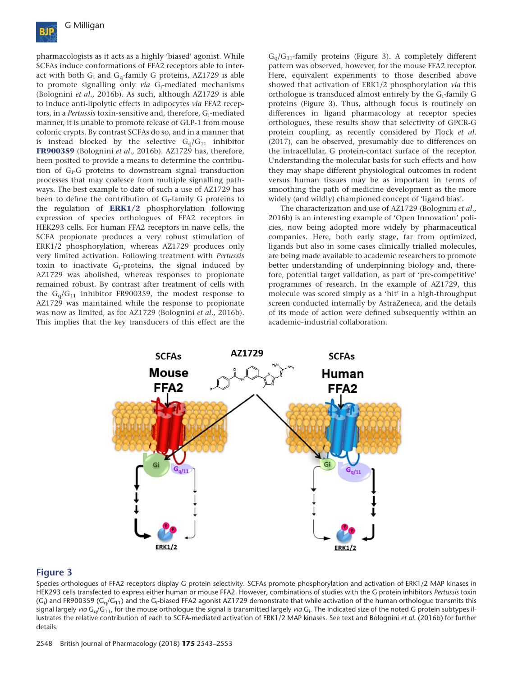

pharmacologists as it acts as a highly 'biased' agonist. While SCFAs induce conformations of FFA2 receptors able to interact with both  $G_i$  and  $G_q$ -family G proteins, AZ1729 is able to promote signalling only *via* G<sub>i</sub>-mediated mechanisms (Bolognini *et al.,* 2016b). As such, although AZ1729 is able to induce anti-lipolytic effects in adipocytes *via* FFA2 receptors, in a *Pertussis* toxin-sensitive and, therefore, G<sub>i</sub>-mediated manner, it is unable to promote release of GLP-1 from mouse colonic crypts. By contrast SCFAs do so, and in a manner that is instead blocked by the selective  $G_0/G_{11}$  inhibitor **[FR900359](http://www.guidetopharmacology.org/GRAC/LigandDisplayForward?ligandId=9336)** (Bolognini *et al.,* 2016b). AZ1729 has, therefore, been posited to provide a means to determine the contribution of G<sub>i</sub>-G proteins to downstream signal transduction processes that may coalesce from multiple signalling pathways. The best example to date of such a use of AZ1729 has been to define the contribution of  $G_i$ -family G proteins to the regulation of **[ERK1/2](http://www.guidetopharmacology.org/GRAC/FamilyDisplayForward?familyId=514)** phosphorylation following expression of species orthologues of FFA2 receptors in HEK293 cells. For human FFA2 receptors in naïve cells, the SCFA propionate produces a very robust stimulation of ERK1/2 phosphorylation, whereas AZ1729 produces only very limited activation. Following treatment with *Pertussis* toxin to inactivate Gi-proteins, the signal induced by AZ1729 was abolished, whereas responses to propionate remained robust. By contrast after treatment of cells with the  $G_0/G_{11}$  inhibitor FR900359, the modest response to AZ1729 was maintained while the response to propionate was now as limited, as for AZ1729 (Bolognini *et al.,* 2016b). This implies that the key transducers of this effect are the

 $G_q/G_{11}$ -family proteins (Figure 3). A completely different pattern was observed, however, for the mouse FFA2 receptor. Here, equivalent experiments to those described above showed that activation of ERK1/2 phosphorylation *via* this orthologue is transduced almost entirely by the Gi-family G proteins (Figure 3). Thus, although focus is routinely on differences in ligand pharmacology at receptor species orthologues, these results show that selectivity of GPCR-G protein coupling, as recently considered by Flock *et al*. (2017), can be observed, presumably due to differences on the intracellular, G protein-contact surface of the receptor. Understanding the molecular basis for such effects and how they may shape different physiological outcomes in rodent versus human tissues may be as important in terms of smoothing the path of medicine development as the more widely (and wildly) championed concept of 'ligand bias'.

The characterization and use of AZ1729 (Bolognini *et al.,* 2016b) is an interesting example of 'Open Innovation' policies, now being adopted more widely by pharmaceutical companies. Here, both early stage, far from optimized, ligands but also in some cases clinically trialled molecules, are being made available to academic researchers to promote better understanding of underpinning biology and, therefore, potential target validation, as part of 'pre-competitive' programmes of research. In the example of AZ1729, this molecule was scored simply as a 'hit' in a high-throughput screen conducted internally by AstraZeneca, and the details of its mode of action were defined subsequently within an academic–industrial collaboration.



#### **Figure 3**

Species orthologues of FFA2 receptors display G protein selectivity. SCFAs promote phosphorylation and activation of ERK1/2 MAP kinases in HEK293 cells transfected to express either human or mouse FFA2. However, combinations of studies with the G protein inhibitors *Pertussis* toxin (G<sub>i</sub>) and FR900359 (G<sub>q</sub>/G<sub>11</sub>) and the G<sub>i</sub>-biased FFA2 agonist AZ1729 demonstrate that while activation of the human orthologue transmits this signal largely *via* G<sub>q</sub>/G<sub>11</sub>, for the mouse orthologue the signal is transmitted largely *via* G<sub>i</sub>. The indicated size of the noted G protein subtypes illustrates the relative contribution of each to SCFA-mediated activation of ERK1/2 MAP kinases. See text and Bolognini *et al*. (2016b) for further details.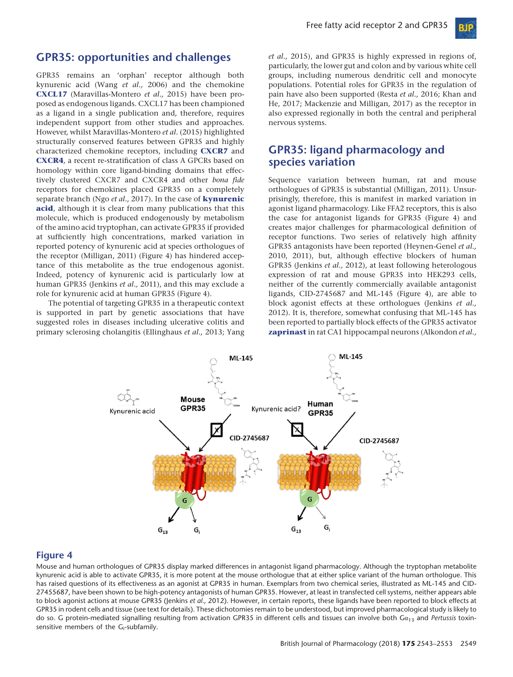

## **GPR35: opportunities and challenges**

GPR35 remains an 'orphan' receptor although both kynurenic acid (Wang *et al.,* 2006) and the chemokine **[CXCL17](http://www.guidetopharmacology.org/GRAC/LigandDisplayForward?ligandId=6479)** (Maravillas-Montero *et al.,* 2015) have been proposed as endogenous ligands. CXCL17 has been championed as a ligand in a single publication and, therefore, requires independent support from other studies and approaches. However, whilst Maravillas-Montero *et al*. (2015) highlighted structurally conserved features between GPR35 and highly characterized chemokine receptors, including **[CXCR7](http://www.guidetopharmacology.org/GRAC/ObjectDisplayForward?objectId=80)** and **[CXCR4](http://www.guidetopharmacology.org/GRAC/ObjectDisplayForward?objectId=71)**, a recent re-stratification of class A GPCRs based on homology within core ligand-binding domains that effectively clustered CXCR7 and CXCR4 and other *bona fide* receptors for chemokines placed GPR35 on a completely separate branch (Ngo *et al.,* 2017). In the case of **[kynurenic](http://www.guidetopharmacology.org/GRAC/LigandDisplayForward?ligandId=2918) [acid](http://www.guidetopharmacology.org/GRAC/LigandDisplayForward?ligandId=2918)**, although it is clear from many publications that this molecule, which is produced endogenously by metabolism of the amino acid tryptophan, can activate GPR35 if provided at sufficiently high concentrations, marked variation in reported potency of kynurenic acid at species orthologues of the receptor (Milligan, 2011) (Figure 4) has hindered acceptance of this metabolite as the true endogenous agonist. Indeed, potency of kynurenic acid is particularly low at human GPR35 (Jenkins *et al.,* 2011), and this may exclude a role for kynurenic acid at human GPR35 (Figure 4).

The potential of targeting GPR35 in a therapeutic context is supported in part by genetic associations that have suggested roles in diseases including ulcerative colitis and primary sclerosing cholangitis (Ellinghaus *et al.,* 2013; Yang *et al.,* 2015), and GPR35 is highly expressed in regions of, particularly, the lower gut and colon and by various white cell groups, including numerous dendritic cell and monocyte populations. Potential roles for GPR35 in the regulation of pain have also been supported (Resta *et al.,* 2016; Khan and He, 2017; Mackenzie and Milligan, 2017) as the receptor in also expressed regionally in both the central and peripheral nervous systems.

## **GPR35: ligand pharmacology and species variation**

Sequence variation between human, rat and mouse orthologues of GPR35 is substantial (Milligan, 2011). Unsurprisingly, therefore, this is manifest in marked variation in agonist ligand pharmacology. Like FFA2 receptors, this is also the case for antagonist ligands for GPR35 (Figure 4) and creates major challenges for pharmacological definition of receptor functions. Two series of relatively high affinity GPR35 antagonists have been reported (Heynen-Genel *et al.,* 2010, 2011), but, although effective blockers of human GPR35 (Jenkins *et al.,* 2012), at least following heterologous expression of rat and mouse GPR35 into HEK293 cells, neither of the currently commercially available antagonist ligands, CID-2745687 and ML-145 (Figure 4), are able to block agonist effects at these orthologues (Jenkins *et al.,* 2012). It is, therefore, somewhat confusing that ML-145 has been reported to partially block effects of the GPR35 activator **[zaprinast](http://www.guidetopharmacology.org/GRAC/LigandDisplayForward?ligandId=2919)** in rat CA1 hippocampal neurons (Alkondon *et al.,*



#### **Figure 4**

Mouse and human orthologues of GPR35 display marked differences in antagonist ligand pharmacology. Although the tryptophan metabolite kynurenic acid is able to activate GPR35, it is more potent at the mouse orthologue that at either splice variant of the human orthologue. This has raised questions of its effectiveness as an agonist at GPR35 in human. Exemplars from two chemical series, illustrated as ML-145 and CID-27455687, have been shown to be high-potency antagonists of human GPR35. However, at least in transfected cell systems, neither appears able to block agonist actions at mouse GPR35 (Jenkins *et al.,* 2012). However, in certain reports, these ligands have been reported to block effects at GPR35 in rodent cells and tissue (see text for details). These dichotomies remain to be understood, but improved pharmacological study is likely to do so. G protein-mediated signalling resulting from activation GPR35 in different cells and tissues can involve both Gα<sup>13</sup> and *Pertussis* toxinsensitive members of the G<sub>i</sub>-subfamily.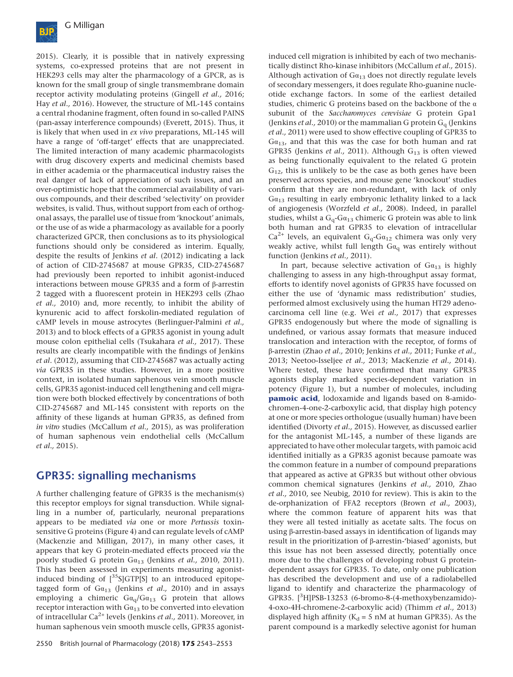

2015). Clearly, it is possible that in natively expressing systems, co-expressed proteins that are not present in HEK293 cells may alter the pharmacology of a GPCR, as is known for the small group of single transmembrane domain receptor activity modulating proteins (Gingell *et al.,* 2016; Hay *et al.,* 2016). However, the structure of ML-145 contains a central rhodanine fragment, often found in so-called PAINS (pan-assay interference compounds) (Everett, 2015). Thus, it is likely that when used in *ex vivo* preparations, ML-145 will have a range of 'off-target' effects that are unappreciated. The limited interaction of many academic pharmacologists with drug discovery experts and medicinal chemists based in either academia or the pharmaceutical industry raises the real danger of lack of appreciation of such issues, and an over-optimistic hope that the commercial availability of various compounds, and their described 'selectivity' on provider websites, is valid. Thus, without support from each of orthogonal assays, the parallel use of tissue from 'knockout' animals, or the use of as wide a pharmacology as available for a poorly characterized GPCR, then conclusions as to its physiological functions should only be considered as interim. Equally, despite the results of Jenkins *et al*. (2012) indicating a lack of action of CID-2745687 at mouse GPR35, CID-2745687 had previously been reported to inhibit agonist-induced interactions between mouse GPR35 and a form of β-arrestin 2 tagged with a fluorescent protein in HEK293 cells (Zhao *et al.,* 2010) and, more recently, to inhibit the ability of kynurenic acid to affect forskolin-mediated regulation of cAMP levels in mouse astrocytes (Berlinguer-Palmini *et al.,* 2013) and to block effects of a GPR35 agonist in young adult mouse colon epithelial cells (Tsukahara *et al.,* 2017). These results are clearly incompatible with the findings of Jenkins *et al*. (2012), assuming that CID-2745687 was actually acting *via* GPR35 in these studies. However, in a more positive context, in isolated human saphenous vein smooth muscle cells, GPR35 agonist-induced cell lengthening and cell migration were both blocked effectively by concentrations of both CID-2745687 and ML-145 consistent with reports on the affinity of these ligands at human GPR35, as defined from *in vitro* studies (McCallum *et al.,* 2015), as was proliferation of human saphenous vein endothelial cells (McCallum *et al.,* 2015).

# **GPR35: signalling mechanisms**

A further challenging feature of GPR35 is the mechanism(s) this receptor employs for signal transduction. While signalling in a number of, particularly, neuronal preparations appears to be mediated *via* one or more *Pertussis* toxinsensitive G proteins (Figure 4) and can regulate levels of cAMP (Mackenzie and Milligan, 2017), in many other cases, it appears that key G protein-mediated effects proceed *via* the poorly studied G protein Gα<sup>13</sup> (Jenkins *et al.,* 2010, 2011). This has been assessed in experiments measuring agonistinduced binding of  $[^{35}S]GTP[S]$  to an introduced epitopetagged form of  $Ga_{13}$  (Jenkins *et al.,* 2010) and in assays employing a chimeric  $Ga_q/Ga_{13}$  G protein that allows receptor interaction with  $Ga_{13}$  to be converted into elevation of intracellular Ca2+ levels (Jenkins *et al.,* 2011). Moreover, in human saphenous vein smooth muscle cells, GPR35 agonistinduced cell migration is inhibited by each of two mechanistically distinct Rho-kinase inhibitors (McCallum *et al.,* 2015). Although activation of  $Ga_{13}$  does not directly regulate levels of secondary messengers, it does regulate Rho-guanine nucleotide exchange factors. In some of the earliest detailed studies, chimeric G proteins based on the backbone of the α subunit of the *Saccharomyces cerevisiae* G protein Gpa1 (Jenkins *et al.*, 2010) or the mammalian G protein  $G<sub>q</sub>$  (Jenkins *et al.,* 2011) were used to show effective coupling of GPR35 to  $Ga_{13}$ , and that this was the case for both human and rat GPR35 (Jenkins *et al.,* 2011). Although G<sub>13</sub> is often viewed as being functionally equivalent to the related G protein  $G_{12}$ , this is unlikely to be the case as both genes have been preserved across species, and mouse gene 'knockout' studies confirm that they are non-redundant, with lack of only  $Ga_{13}$  resulting in early embryonic lethality linked to a lack of angiogenesis (Worzfeld *et al.,* 2008). Indeed, in parallel studies, whilst a  $G_q$ - $Ga_{13}$  chimeric G protein was able to link both human and rat GPR35 to elevation of intracellular  $Ca^{2+}$  levels, an equivalent  $G_q-Ga_{12}$  chimera was only very weakly active, whilst full length  $Ga<sub>q</sub>$  was entirely without function (Jenkins *et al.,* 2011).

In part, because selective activation of  $Ga_{13}$  is highly challenging to assess in any high-throughput assay format, efforts to identify novel agonists of GPR35 have focussed on either the use of 'dynamic mass redistribution' studies, performed almost exclusively using the human HT29 adenocarcinoma cell line (e.g. Wei *et al.,* 2017) that expresses GPR35 endogenously but where the mode of signalling is undefined, or various assay formats that measure induced translocation and interaction with the receptor, of forms of β-arrestin (Zhao *et al.,* 2010; Jenkins *et al.,* 2011; Funke *et al.,* 2013; Neetoo-Isseljee *et al.,* 2013; MacKenzie *et al.,* 2014). Where tested, these have confirmed that many GPR35 agonists display marked species-dependent variation in potency (Figure 1), but a number of molecules, including **[pamoic acid](http://www.guidetopharmacology.org/GRAC/LigandDisplayForward?ligandId=2920)**, lodoxamide and ligands based on 8-amidochromen-4-one-2-carboxylic acid, that display high potency at one or more species orthologue (usually human) have been identified (Divorty *et al.,* 2015). However, as discussed earlier for the antagonist ML-145, a number of these ligands are appreciated to have other molecular targets, with pamoic acid identified initially as a GPR35 agonist because pamoate was the common feature in a number of compound preparations that appeared as active at GPR35 but without other obvious common chemical signatures (Jenkins *et al.,* 2010, Zhao *et al.,* 2010, see Neubig, 2010 for review). This is akin to the de-orphanization of FFA2 receptors (Brown *et al.,* 2003), where the common feature of apparent hits was that they were all tested initially as acetate salts. The focus on using β-arrestin-based assays in identification of ligands may result in the prioritization of β-arrestin-'biased' agonists, but this issue has not been assessed directly, potentially once more due to the challenges of developing robust G proteindependent assays for GPR35. To date, only one publication has described the development and use of a radiolabelled ligand to identify and characterize the pharmacology of GPR35. [<sup>3</sup> H]PSB-13253 (6-bromo-8-(4-methoxybenzamido)- 4-oxo-4H-chromene-2-carboxylic acid) (Thimm *et al.,* 2013) displayed high affinity ( $K_d = 5$  nM at human GPR35). As the parent compound is a markedly selective agonist for human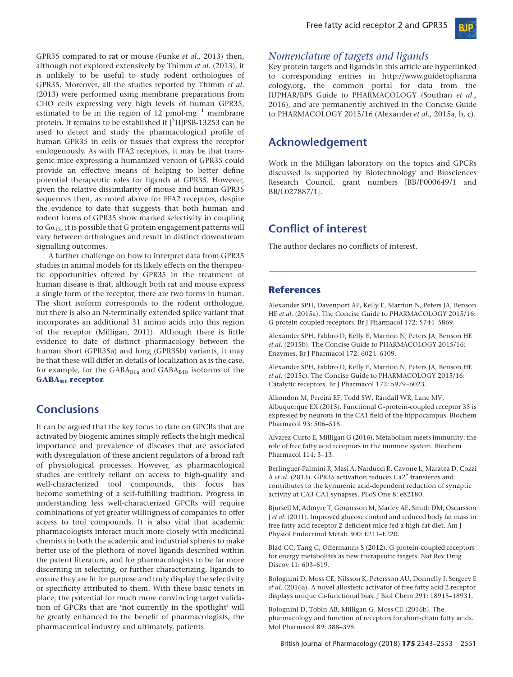

GPR35 compared to rat or mouse (Funke *et al.,* 2013) then, although not explored extensively by Thimm *et al*. (2013), it is unlikely to be useful to study rodent orthologues of GPR35. Moreover, all the studies reported by Thimm *et al*. (2013) were performed using membrane preparations from CHO cells expressing very high levels of human GPR35, estimated to be in the region of 12  $\mathrm{pmol\cdot mg}^{-1}$  membrane protein. It remains to be established if  $[^3\mathrm{H}]$ PSB-13253 can be used to detect and study the pharmacological profile of human GPR35 in cells or tissues that express the receptor endogenously. As with FFA2 receptors, it may be that transgenic mice expressing a humanized version of GPR35 could provide an effective means of helping to better define potential therapeutic roles for ligands at GPR35. However, given the relative dissimilarity of mouse and human GPR35 sequences then, as noted above for FFA2 receptors, despite the evidence to date that suggests that both human and rodent forms of GPR35 show marked selectivity in coupling to  $Ga_{13}$ , it is possible that G protein engagement patterns will vary between orthologues and result in distinct downstream signalling outcomes.

A further challenge on how to interpret data from GPR35 studies in animal models for its likely effects on the therapeutic opportunities offered by GPR35 in the treatment of human disease is that, although both rat and mouse express a single form of the receptor, there are two forms in human. The short isoform corresponds to the rodent orthologue, but there is also an N-terminally extended splice variant that incorporates an additional 31 amino acids into this region of the receptor (Milligan, 2011). Although there is little evidence to date of distinct pharmacology between the human short (GPR35a) and long (GPR35b) variants, it may be that these will differ in details of localization as is the case, for example, for the  $GABA_{B1a}$  and  $GABA_{B1b}$  isoforms of the **[GABAB1](http://www.guidetopharmacology.org/GRAC/ObjectDisplayForward?objectId=240) [receptor](http://www.guidetopharmacology.org/GRAC/ObjectDisplayForward?objectId=240)**.

# **Conclusions**

It can be argued that the key focus to date on GPCRs that are activated by biogenic amines simply reflects the high medical importance and prevalence of diseases that are associated with dysregulation of these ancient regulators of a broad raft of physiological processes. However, as pharmacological studies are entirely reliant on access to high-quality and well-characterized tool compounds, this focus has become something of a self-fulfilling tradition. Progress in understanding less well-characterized GPCRs will require combinations of yet greater willingness of companies to offer access to tool compounds. It is also vital that academic pharmacologists interact much more closely with medicinal chemists in both the academic and industrial spheres to make better use of the plethora of novel ligands described within the patent literature, and for pharmacologists to be far more discerning in selecting, or further characterizing, ligands to ensure they are fit for purpose and truly display the selectivity or specificity attributed to them. With these basic tenets in place, the potential for much more convincing target validation of GPCRs that are 'not currently in the spotlight' will be greatly enhanced to the benefit of pharmacologists, the pharmaceutical industry and ultimately, patients.

## *Nomenclature of targets and ligands*

Key protein targets and ligands in this article are hyperlinked to corresponding entries in [http://www.guidetopharma](http://www.guidetopharmacology.org) [cology.org](http://www.guidetopharmacology.org), the common portal for data from the IUPHAR/BPS Guide to PHARMACOLOGY (Southan *et al.,* 2016), and are permanently archived in the Concise Guide to PHARMACOLOGY 2015/16 (Alexander *et al.,* 2015a, b, c).

## **Acknowledgement**

Work in the Milligan laboratory on the topics and GPCRs discussed is supported by Biotechnology and Biosciences Research Council, grant numbers [BB/P000649/1 and BB/L027887/1].

# **Conflict of interest**

The author declares no conflicts of interest.

## **References**

Alexander SPH, Davenport AP, Kelly E, Marrion N, Peters JA, Benson HE *et al*. (2015a). The Concise Guide to PHARMACOLOGY 2015/16: G protein-coupled receptors. Br J Pharmacol 172: 5744–5869.

Alexander SPH, Fabbro D, Kelly E, Marrion N, Peters JA, Benson HE *et al*. (2015b). The Concise Guide to PHARMACOLOGY 2015/16: Enzymes. Br J Pharmacol 172: 6024–6109.

Alexander SPH, Fabbro D, Kelly E, Marrion N, Peters JA, Benson HE *et al*. (2015c). The Concise Guide to PHARMACOLOGY 2015/16: Catalytic receptors. Br J Pharmacol 172: 5979–6023.

Alkondon M, Pereira EF, Todd SW, Randall WR, Lane MV, Albuquerque EX (2015). Functional G-protein-coupled receptor 35 is expressed by neurons in the CA1 field of the hippocampus. Biochem Pharmacol 93: 506–518.

Alvarez-Curto E, Milligan G (2016). Metabolism meets immunity: the role of free fatty acid receptors in the immune system. Biochem Pharmacol 114: 3–13.

Berlinguer-Palmini R, Masi A, Narducci R, Cavone L, Maratea D, Cozzi A *et al.* (2013). GPR35 activation reduces Ca2<sup>+</sup> transients and contributes to the kynurenic acid-dependent reduction of synaptic activity at CA3-CA1 synapses. PLoS One 8: e82180.

Bjursell M, Admyre T, Göransson M, Marley AE, Smith DM, Oscarsson J *et al*. (2011). Improved glucose control and reduced body fat mass in free fatty acid receptor 2-deficient mice fed a high-fat diet. Am J Physiol Endocrinol Metab 300: E211–E220.

Blad CC, Tang C, Offermanns S (2012). G protein-coupled receptors for energy metabolites as new therapeutic targets. Nat Rev Drug Discov 11: 603–619.

Bolognini D, Moss CE, Nilsson K, Petersson AU, Donnelly I, Sergeev E *et al*. (2016a). A novel allosteric activator of free fatty acid 2 receptor displays unique Gi-functional bias. J Biol Chem 291: 18915–18931.

Bolognini D, Tobin AB, Milligan G, Moss CE (2016b). The pharmacology and function of receptors for short-chain fatty acids. Mol Pharmacol 89: 388–398.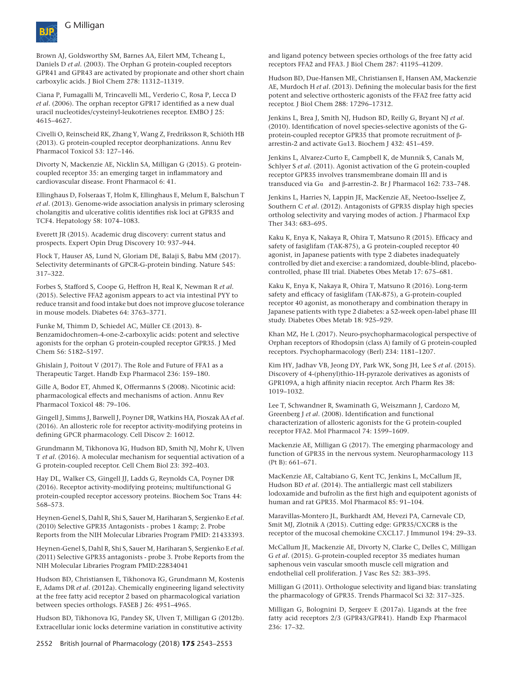

Brown AJ, Goldsworthy SM, Barnes AA, Eilert MM, Tcheang L, Daniels D *et al*. (2003). The Orphan G protein-coupled receptors GPR41 and GPR43 are activated by propionate and other short chain carboxylic acids. J Biol Chem 278: 11312–11319.

Ciana P, Fumagalli M, Trincavelli ML, Verderio C, Rosa P, Lecca D *et al*. (2006). The orphan receptor GPR17 identified as a new dual uracil nucleotides/cysteinyl-leukotrienes receptor. EMBO J 25: 4615–4627.

Civelli O, Reinscheid RK, Zhang Y, Wang Z, Fredriksson R, Schiöth HB (2013). G protein-coupled receptor deorphanizations. Annu Rev Pharmacol Toxicol 53: 127–146.

Divorty N, Mackenzie AE, Nicklin SA, Milligan G (2015). G proteincoupled receptor 35: an emerging target in inflammatory and cardiovascular disease. Front Pharmacol 6: 41.

Ellinghaus D, Folseraas T, Holm K, Ellinghaus E, Melum E, Balschun T *et al*. (2013). Genome-wide association analysis in primary sclerosing cholangitis and ulcerative colitis identifies risk loci at GPR35 and TCF4. Hepatology 58: 1074–1083.

Everett JR (2015). Academic drug discovery: current status and prospects. Expert Opin Drug Discovery 10: 937–944.

Flock T, Hauser AS, Lund N, Gloriam DE, Balaji S, Babu MM (2017). Selectivity determinants of GPCR-G-protein binding. Nature 545: 317–322.

Forbes S, Stafford S, Coope G, Heffron H, Real K, Newman R *et al*. (2015). Selective FFA2 agonism appears to act via intestinal PYY to reduce transit and food intake but does not improve glucose tolerance in mouse models. Diabetes 64: 3763–3771.

Funke M, Thimm D, Schiedel AC, Müller CE (2013). 8- Benzamidochromen-4-one-2-carboxylic acids: potent and selective agonists for the orphan G protein-coupled receptor GPR35. J Med Chem 56: 5182–5197.

Ghislain J, Poitout V (2017). The Role and Future of FFA1 as a Therapeutic Target. Handb Exp Pharmacol 236: 159–180.

Gille A, Bodor ET, Ahmed K, Offermanns S (2008). Nicotinic acid: pharmacological effects and mechanisms of action. Annu Rev Pharmacol Toxicol 48: 79–106.

Gingell J, Simms J, Barwell J, Poyner DR, Watkins HA, Pioszak AA *et al*. (2016). An allosteric role for receptor activity-modifying proteins in defining GPCR pharmacology. Cell Discov 2: 16012.

Grundmann M, Tikhonova IG, Hudson BD, Smith NJ, Mohr K, Ulven T *et al*. (2016). A molecular mechanism for sequential activation of a G protein-coupled receptor. Cell Chem Biol 23: 392–403.

Hay DL, Walker CS, Gingell JJ, Ladds G, Reynolds CA, Poyner DR (2016). Receptor activity-modifying proteins; multifunctional G protein-coupled receptor accessory proteins. Biochem Soc Trans 44: 568–573.

Heynen-Genel S, Dahl R, Shi S, Sauer M, Hariharan S, Sergienko E *et al.* (2010) Selective GPR35 Antagonists - probes 1 & amp; 2. Probe Reports from the NIH Molecular Libraries Program PMID: 21433393.

Heynen-Genel S, Dahl R, Shi S, Sauer M, Hariharan S, Sergienko E *et al.* (2011) Selective GPR35 antagonists - probe 3. Probe Reports from the NIH Molecular Libraries Program PMID:22834041

Hudson BD, Christiansen E, Tikhonova IG, Grundmann M, Kostenis E, Adams DR *et al*. (2012a). Chemically engineering ligand selectivity at the free fatty acid receptor 2 based on pharmacological variation between species orthologs. FASEB J 26: 4951–4965.

Hudson BD, Tikhonova IG, Pandey SK, Ulven T, Milligan G (2012b). Extracellular ionic locks determine variation in constitutive activity

and ligand potency between species orthologs of the free fatty acid receptors FFA2 and FFA3. J Biol Chem 287: 41195–41209.

Hudson BD, Due-Hansen ME, Christiansen E, Hansen AM, Mackenzie AE, Murdoch H *et al*. (2013). Defining the molecular basis for the first potent and selective orthosteric agonists of the FFA2 free fatty acid receptor. J Biol Chem 288: 17296–17312.

Jenkins L, Brea J, Smith NJ, Hudson BD, Reilly G, Bryant NJ *et al*. (2010). Identification of novel species-selective agonists of the Gprotein-coupled receptor GPR35 that promote recruitment of βarrestin-2 and activate Gα13. Biochem J 432: 451–459.

Jenkins L, Alvarez-Curto E, Campbell K, de Munnik S, Canals M, Schlyer S *et al*. (2011). Agonist activation of the G protein-coupled receptor GPR35 involves transmembrane domain III and is transduced via Gα and β-arrestin-2. Br J Pharmacol 162: 733–748.

Jenkins L, Harries N, Lappin JE, MacKenzie AE, Neetoo-Isseljee Z, Southern C *et al*. (2012). Antagonists of GPR35 display high species ortholog selectivity and varying modes of action. J Pharmacol Exp Ther 343: 683–695.

Kaku K, Enya K, Nakaya R, Ohira T, Matsuno R (2015). Efficacy and safety of fasiglifam (TAK-875), a G protein-coupled receptor 40 agonist, in Japanese patients with type 2 diabetes inadequately controlled by diet and exercise: a randomized, double-blind, placebocontrolled, phase III trial. Diabetes Obes Metab 17: 675–681.

Kaku K, Enya K, Nakaya R, Ohira T, Matsuno R (2016). Long-term safety and efficacy of fasiglifam (TAK-875), a G-protein-coupled receptor 40 agonist, as monotherapy and combination therapy in Japanese patients with type 2 diabetes: a 52-week open-label phase III study. Diabetes Obes Metab 18: 925–929.

Khan MZ, He L (2017). Neuro-psychopharmacological perspective of Orphan receptors of Rhodopsin (class A) family of G protein-coupled receptors. Psychopharmacology (Berl) 234: 1181–1207.

Kim HY, Jadhav VB, Jeong DY, Park WK, Song JH, Lee S *et al*. (2015). Discovery of 4-(phenyl)thio-1H-pyrazole derivatives as agonists of GPR109A, a high affinity niacin receptor. Arch Pharm Res 38: 1019–1032.

Lee T, Schwandner R, Swaminath G, Weiszmann J, Cardozo M, Greenberg J *et al*. (2008). Identification and functional characterization of allosteric agonists for the G protein-coupled receptor FFA2. Mol Pharmacol 74: 1599–1609.

Mackenzie AE, Milligan G (2017). The emerging pharmacology and function of GPR35 in the nervous system. Neuropharmacology 113 (Pt B): 661–671.

MacKenzie AE, Caltabiano G, Kent TC, Jenkins L, McCallum JE, Hudson BD *et al*. (2014). The antiallergic mast cell stabilizers lodoxamide and bufrolin as the first high and equipotent agonists of human and rat GPR35. Mol Pharmacol 85: 91–104.

Maravillas-Montero JL, Burkhardt AM, Hevezi PA, Carnevale CD, Smit MJ, Zlotnik A (2015). Cutting edge: GPR35/CXCR8 is the receptor of the mucosal chemokine CXCL17. J Immunol 194: 29–33.

McCallum JE, Mackenzie AE, Divorty N, Clarke C, Delles C, Milligan G *et al*. (2015). G-protein-coupled receptor 35 mediates human saphenous vein vascular smooth muscle cell migration and endothelial cell proliferation. J Vasc Res 52: 383–395.

Milligan G (2011). Orthologue selectivity and ligand bias: translating the pharmacology of GPR35. Trends Pharmacol Sci 32: 317–325.

Milligan G, Bolognini D, Sergeev E (2017a). Ligands at the free fatty acid receptors 2/3 (GPR43/GPR41). Handb Exp Pharmacol 236: 17–32.